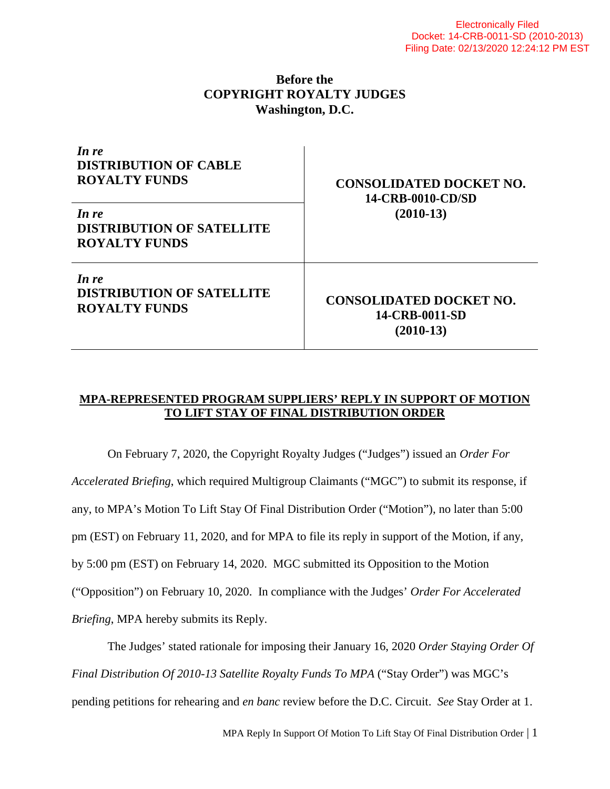## **Before the COPYRIGHT ROYALTY JUDGES Washington, D.C.**

| In re<br><b>DISTRIBUTION OF CABLE</b><br><b>ROYALTY FUNDS</b><br>In re<br><b>DISTRIBUTION OF SATELLITE</b><br><b>ROYALTY FUNDS</b> | <b>CONSOLIDATED DOCKET NO.</b><br>14-CRB-0010-CD/SD<br>$(2010-13)$ |
|------------------------------------------------------------------------------------------------------------------------------------|--------------------------------------------------------------------|
| In re                                                                                                                              | <b>CONSOLIDATED DOCKET NO.</b>                                     |
| <b>DISTRIBUTION OF SATELLITE</b>                                                                                                   | 14-CRB-0011-SD                                                     |
| <b>ROYALTY FUNDS</b>                                                                                                               | $(2010-13)$                                                        |

## **MPA-REPRESENTED PROGRAM SUPPLIERS' REPLY IN SUPPORT OF MOTION TO LIFT STAY OF FINAL DISTRIBUTION ORDER**

On February 7, 2020, the Copyright Royalty Judges ("Judges") issued an *Order For Accelerated Briefing*, which required Multigroup Claimants ("MGC") to submit its response, if any, to MPA's Motion To Lift Stay Of Final Distribution Order ("Motion"), no later than 5:00 pm (EST) on February 11, 2020, and for MPA to file its reply in support of the Motion, if any, by 5:00 pm (EST) on February 14, 2020. MGC submitted its Opposition to the Motion ("Opposition") on February 10, 2020. In compliance with the Judges' *Order For Accelerated Briefing*, MPA hereby submits its Reply.

The Judges' stated rationale for imposing their January 16, 2020 *Order Staying Order Of Final Distribution Of 2010-13 Satellite Royalty Funds To MPA* ("Stay Order") was MGC's pending petitions for rehearing and *en banc* review before the D.C. Circuit. *See* Stay Order at 1.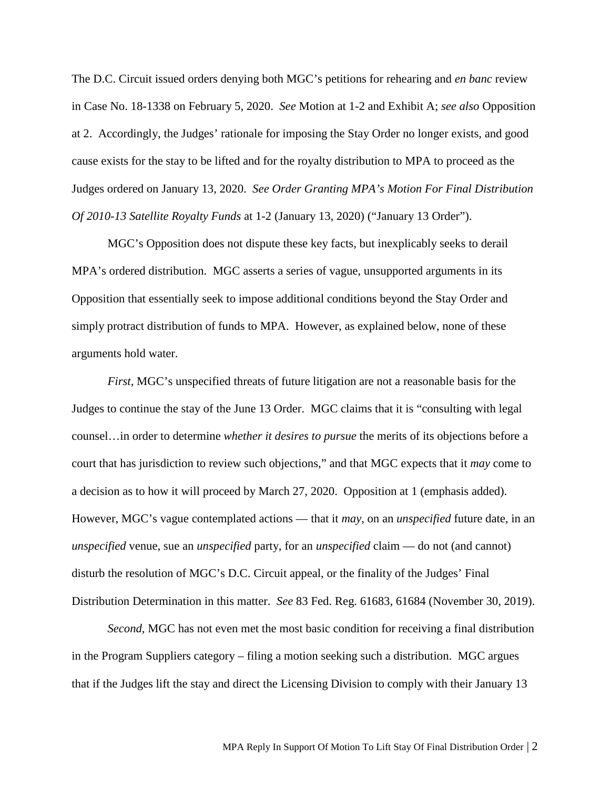The D.C. Circuit issued orders denying both MGC's petitions for rehearing and *en banc* review in Case No. 18-1338 on February 5, 2020. *See* Motion at 1-2 and Exhibit A; *see also* Opposition at 2. Accordingly, the Judges' rationale for imposing the Stay Order no longer exists, and good cause exists for the stay to be lifted and for the royalty distribution to MPA to proceed as the Judges ordered on January 13, 2020. *See Order Granting MPA's Motion For Final Distribution Of 2010-13 Satellite Royalty Funds* at 1-2 (January 13, 2020) ("January 13 Order").

MGC's Opposition does not dispute these key facts, but inexplicably seeks to derail MPA's ordered distribution. MGC asserts a series of vague, unsupported arguments in its Opposition that essentially seek to impose additional conditions beyond the Stay Order and simply protract distribution of funds to MPA. However, as explained below, none of these arguments hold water.

*First,* MGC's unspecified threats of future litigation are not a reasonable basis for the Judges to continue the stay of the June 13 Order. MGC claims that it is "consulting with legal counsel…in order to determine *whether it desires to pursue* the merits of its objections before a court that has jurisdiction to review such objections," and that MGC expects that it *may* come to a decision as to how it will proceed by March 27, 2020. Opposition at 1 (emphasis added). However, MGC's vague contemplated actions — that it *may*, on an *unspecified* future date, in an *unspecified* venue, sue an *unspecified* party, for an *unspecified* claim — do not (and cannot) disturb the resolution of MGC's D.C. Circuit appeal, or the finality of the Judges' Final Distribution Determination in this matter. *See* 83 Fed. Reg. 61683, 61684 (November 30, 2019).

*Second*, MGC has not even met the most basic condition for receiving a final distribution in the Program Suppliers category – filing a motion seeking such a distribution. MGC argues that if the Judges lift the stay and direct the Licensing Division to comply with their January 13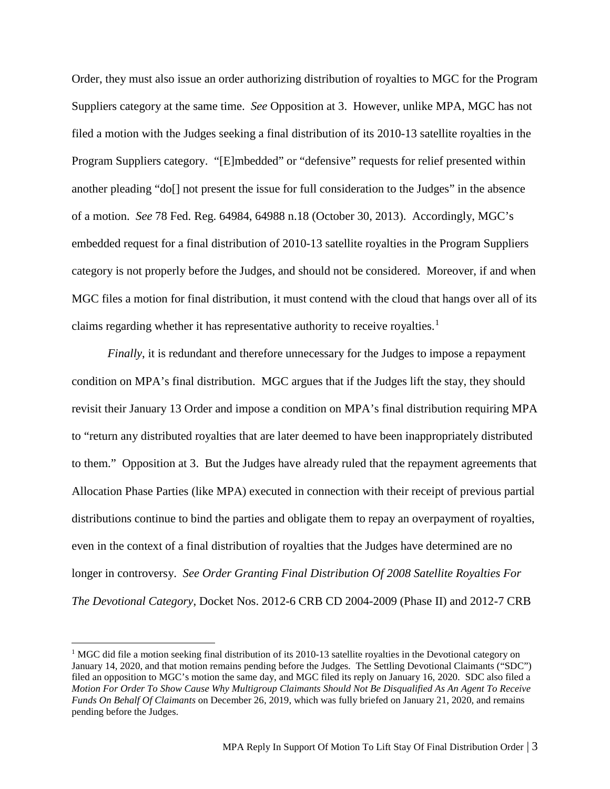Order, they must also issue an order authorizing distribution of royalties to MGC for the Program Suppliers category at the same time. *See* Opposition at 3. However, unlike MPA, MGC has not filed a motion with the Judges seeking a final distribution of its 2010-13 satellite royalties in the Program Suppliers category. "[E]mbedded" or "defensive" requests for relief presented within another pleading "do[] not present the issue for full consideration to the Judges" in the absence of a motion. *See* 78 Fed. Reg. 64984, 64988 n.18 (October 30, 2013). Accordingly, MGC's embedded request for a final distribution of 2010-13 satellite royalties in the Program Suppliers category is not properly before the Judges, and should not be considered. Moreover, if and when MGC files a motion for final distribution, it must contend with the cloud that hangs over all of its claims regarding whether it has representative authority to receive royalties.<sup>[1](#page-2-0)</sup>

*Finally*, it is redundant and therefore unnecessary for the Judges to impose a repayment condition on MPA's final distribution. MGC argues that if the Judges lift the stay, they should revisit their January 13 Order and impose a condition on MPA's final distribution requiring MPA to "return any distributed royalties that are later deemed to have been inappropriately distributed to them." Opposition at 3. But the Judges have already ruled that the repayment agreements that Allocation Phase Parties (like MPA) executed in connection with their receipt of previous partial distributions continue to bind the parties and obligate them to repay an overpayment of royalties, even in the context of a final distribution of royalties that the Judges have determined are no longer in controversy. *See Order Granting Final Distribution Of 2008 Satellite Royalties For The Devotional Category*, Docket Nos. 2012-6 CRB CD 2004-2009 (Phase II) and 2012-7 CRB

<span id="page-2-0"></span><sup>&</sup>lt;sup>1</sup> MGC did file a motion seeking final distribution of its 2010-13 satellite royalties in the Devotional category on January 14, 2020, and that motion remains pending before the Judges. The Settling Devotional Claimants ("SDC") filed an opposition to MGC's motion the same day, and MGC filed its reply on January 16, 2020. SDC also filed a *Motion For Order To Show Cause Why Multigroup Claimants Should Not Be Disqualified As An Agent To Receive Funds On Behalf Of Claimants* on December 26, 2019, which was fully briefed on January 21, 2020, and remains pending before the Judges.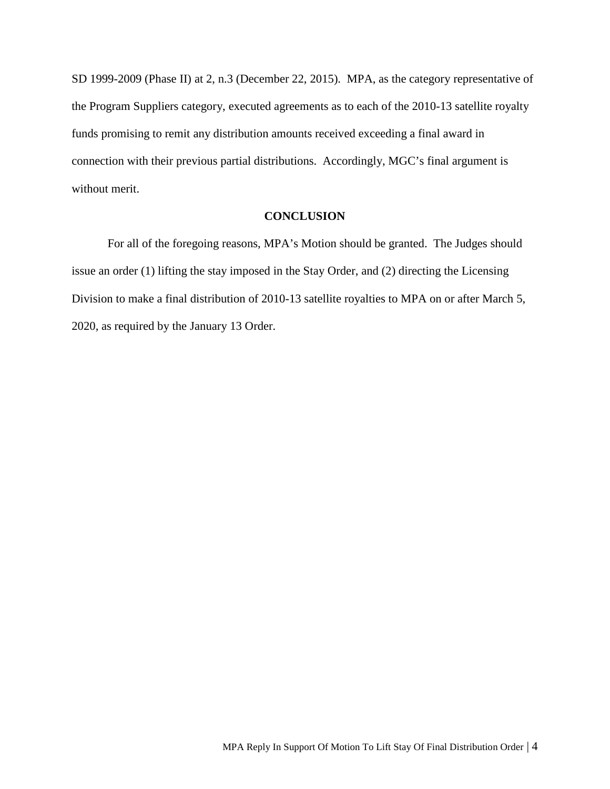SD 1999-2009 (Phase II) at 2, n.3 (December 22, 2015). MPA, as the category representative of the Program Suppliers category, executed agreements as to each of the 2010-13 satellite royalty funds promising to remit any distribution amounts received exceeding a final award in connection with their previous partial distributions. Accordingly, MGC's final argument is without merit.

#### **CONCLUSION**

For all of the foregoing reasons, MPA's Motion should be granted. The Judges should issue an order (1) lifting the stay imposed in the Stay Order, and (2) directing the Licensing Division to make a final distribution of 2010-13 satellite royalties to MPA on or after March 5, 2020, as required by the January 13 Order.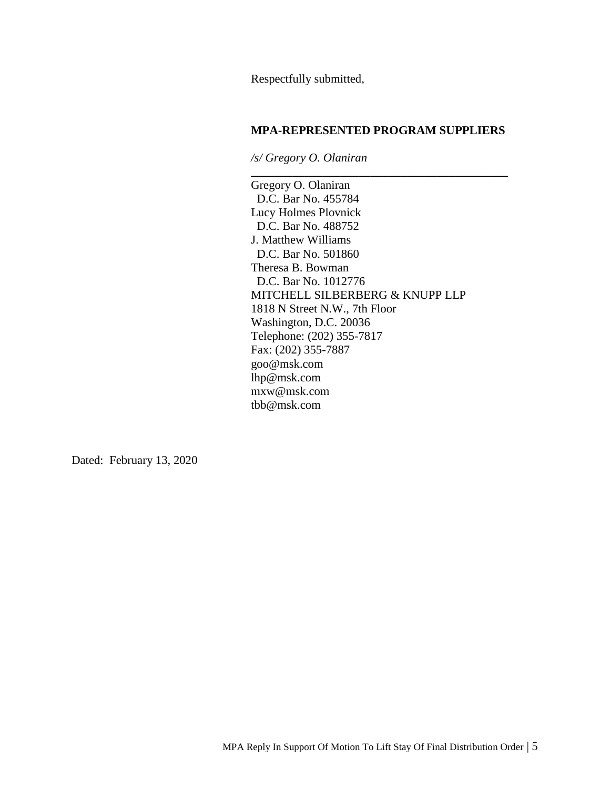Respectfully submitted,

### **MPA-REPRESENTED PROGRAM SUPPLIERS**

**\_\_\_\_\_\_\_\_\_\_\_\_\_\_\_\_\_\_\_\_\_\_\_\_\_\_\_\_\_\_\_\_\_\_\_\_\_\_\_\_\_\_\_**

*/s/ Gregory O. Olaniran*

Gregory O. Olaniran D.C. Bar No. 455784 Lucy Holmes Plovnick D.C. Bar No. 488752 J. Matthew Williams D.C. Bar No. 501860 Theresa B. Bowman D.C. Bar No. 1012776 MITCHELL SILBERBERG & KNUPP LLP 1818 N Street N.W., 7th Floor Washington, D.C. 20036 Telephone: (202) 355-7817 Fax: (202) 355-7887 goo@msk.com lhp@msk.com mxw@msk.com tbb@msk.com

Dated: February 13, 2020